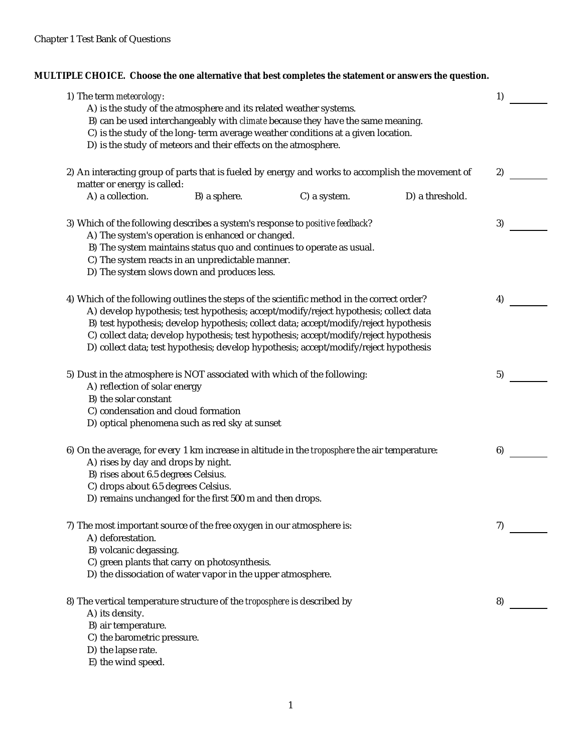**MULTIPLE CHOICE. Choose the one alternative that best completes the statement or answers the question.**

| 1) The term meteorology:                                                                                                         |                                                                                                                                       |                                                                                                                                                                                                                                                                                                                                                                  |                 | 1) |  |
|----------------------------------------------------------------------------------------------------------------------------------|---------------------------------------------------------------------------------------------------------------------------------------|------------------------------------------------------------------------------------------------------------------------------------------------------------------------------------------------------------------------------------------------------------------------------------------------------------------------------------------------------------------|-----------------|----|--|
|                                                                                                                                  | A) is the study of the atmosphere and its related weather systems.<br>D) is the study of meteors and their effects on the atmosphere. | B) can be used interchangeably with <i>climate</i> because they have the same meaning.<br>C) is the study of the long-term average weather conditions at a given location.                                                                                                                                                                                       |                 |    |  |
| 2) An interacting group of parts that is fueled by energy and works to accomplish the movement of<br>matter or energy is called: |                                                                                                                                       |                                                                                                                                                                                                                                                                                                                                                                  |                 | 2) |  |
| A) a collection.                                                                                                                 | B) a sphere.                                                                                                                          | C) a system.                                                                                                                                                                                                                                                                                                                                                     | D) a threshold. |    |  |
| 3) Which of the following describes a system's response to positive feedback?                                                    | A) The system's operation is enhanced or changed.                                                                                     | B) The system maintains status quo and continues to operate as usual.                                                                                                                                                                                                                                                                                            |                 | 3) |  |
|                                                                                                                                  | C) The system reacts in an unpredictable manner.<br>D) The system slows down and produces less.                                       |                                                                                                                                                                                                                                                                                                                                                                  |                 |    |  |
| 4) Which of the following outlines the steps of the scientific method in the correct order?                                      |                                                                                                                                       |                                                                                                                                                                                                                                                                                                                                                                  |                 | 4) |  |
|                                                                                                                                  |                                                                                                                                       | A) develop hypothesis; test hypothesis; accept/modify/reject hypothesis; collect data<br>B) test hypothesis; develop hypothesis; collect data; accept/modify/reject hypothesis<br>C) collect data; develop hypothesis; test hypothesis; accept/modify/reject hypothesis<br>D) collect data; test hypothesis; develop hypothesis; accept/modify/reject hypothesis |                 |    |  |
| 5) Dust in the atmosphere is NOT associated with which of the following:<br>A) reflection of solar energy                        |                                                                                                                                       |                                                                                                                                                                                                                                                                                                                                                                  |                 | 5) |  |
| B) the solar constant<br>C) condensation and cloud formation                                                                     | D) optical phenomena such as red sky at sunset                                                                                        |                                                                                                                                                                                                                                                                                                                                                                  |                 |    |  |
| 6) On the average, for every 1 km increase in altitude in the troposphere the air temperature:                                   |                                                                                                                                       |                                                                                                                                                                                                                                                                                                                                                                  |                 | 6) |  |
| A) rises by day and drops by night.<br>B) rises about 6.5 degrees Celsius.                                                       |                                                                                                                                       |                                                                                                                                                                                                                                                                                                                                                                  |                 |    |  |
| C) drops about 6.5 degrees Celsius.                                                                                              | D) remains unchanged for the first 500 m and then drops.                                                                              |                                                                                                                                                                                                                                                                                                                                                                  |                 |    |  |
| 7) The most important source of the free oxygen in our atmosphere is:<br>A) deforestation.                                       |                                                                                                                                       |                                                                                                                                                                                                                                                                                                                                                                  |                 | 7) |  |
| B) volcanic degassing.                                                                                                           |                                                                                                                                       |                                                                                                                                                                                                                                                                                                                                                                  |                 |    |  |
|                                                                                                                                  | C) green plants that carry on photosynthesis.<br>D) the dissociation of water vapor in the upper atmosphere.                          |                                                                                                                                                                                                                                                                                                                                                                  |                 |    |  |
| 8) The vertical temperature structure of the <i>troposphere</i> is described by                                                  |                                                                                                                                       |                                                                                                                                                                                                                                                                                                                                                                  |                 | 8) |  |
| A) its density.<br>B) air temperature.                                                                                           |                                                                                                                                       |                                                                                                                                                                                                                                                                                                                                                                  |                 |    |  |
| C) the barometric pressure.                                                                                                      |                                                                                                                                       |                                                                                                                                                                                                                                                                                                                                                                  |                 |    |  |
| D) the lapse rate.<br>E) the wind speed.                                                                                         |                                                                                                                                       |                                                                                                                                                                                                                                                                                                                                                                  |                 |    |  |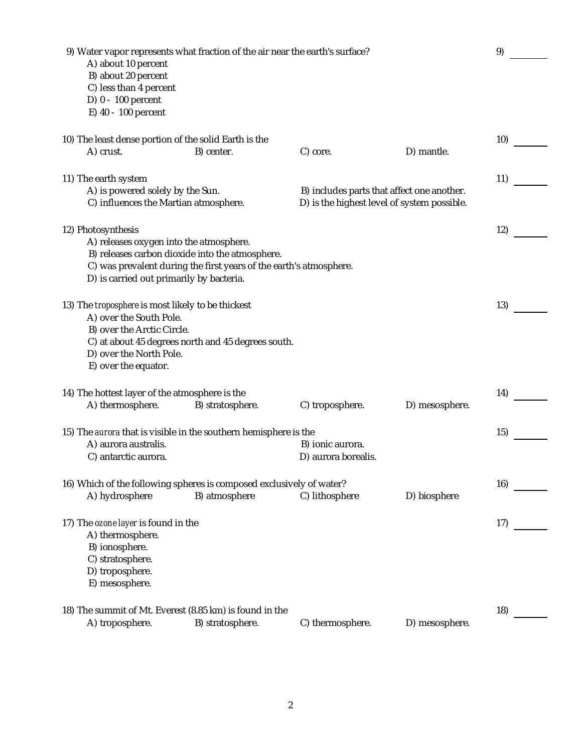| A) about 10 percent<br>B) about 20 percent<br>C) less than 4 percent<br>D) 0 - 100 percent | 9) Water vapor represents what fraction of the air near the earth's surface? |                                             |                | 9)  |
|--------------------------------------------------------------------------------------------|------------------------------------------------------------------------------|---------------------------------------------|----------------|-----|
| E) 40 - 100 percent                                                                        |                                                                              |                                             |                |     |
|                                                                                            |                                                                              |                                             |                |     |
|                                                                                            | 10) The least dense portion of the solid Earth is the                        |                                             |                | 10) |
| A) crust.                                                                                  | B) center.                                                                   | C) core.                                    | D) mantle.     |     |
|                                                                                            |                                                                              |                                             |                | 11) |
| 11) The earth system<br>A) is powered solely by the Sun.                                   |                                                                              | B) includes parts that affect one another.  |                |     |
|                                                                                            | C) influences the Martian atmosphere.                                        | D) is the highest level of system possible. |                |     |
|                                                                                            |                                                                              |                                             |                |     |
| 12) Photosynthesis                                                                         |                                                                              |                                             |                | 12) |
|                                                                                            | A) releases oxygen into the atmosphere.                                      |                                             |                |     |
|                                                                                            | B) releases carbon dioxide into the atmosphere.                              |                                             |                |     |
|                                                                                            | C) was prevalent during the first years of the earth's atmosphere.           |                                             |                |     |
|                                                                                            | D) is carried out primarily by bacteria.                                     |                                             |                |     |
|                                                                                            |                                                                              |                                             |                |     |
| 13) The troposphere is most likely to be thickest                                          |                                                                              |                                             |                | 13) |
| A) over the South Pole.<br>B) over the Arctic Circle.                                      |                                                                              |                                             |                |     |
|                                                                                            | C) at about 45 degrees north and 45 degrees south.                           |                                             |                |     |
| D) over the North Pole.                                                                    |                                                                              |                                             |                |     |
| E) over the equator.                                                                       |                                                                              |                                             |                |     |
|                                                                                            |                                                                              |                                             |                |     |
| 14) The hottest layer of the atmosphere is the                                             |                                                                              |                                             |                | 14) |
| A) thermosphere.                                                                           | B) stratosphere.                                                             | C) troposphere.                             | D) mesosphere. |     |
|                                                                                            |                                                                              |                                             |                |     |
|                                                                                            | 15) The aurora that is visible in the southern hemisphere is the             |                                             |                | 15) |
| A) aurora australis.                                                                       |                                                                              | B) ionic aurora.                            |                |     |
| C) antarctic aurora.                                                                       |                                                                              | D) aurora borealis.                         |                |     |
|                                                                                            |                                                                              |                                             |                |     |
|                                                                                            | 16) Which of the following spheres is composed exclusively of water?         |                                             |                | 16) |
| A) hydrosphere                                                                             | B) atmosphere                                                                | C) lithosphere                              | D) biosphere   |     |
|                                                                                            |                                                                              |                                             |                |     |
| 17) The ozone layer is found in the<br>A) thermosphere.                                    |                                                                              |                                             |                | 17) |
| B) ionosphere.                                                                             |                                                                              |                                             |                |     |
| C) stratosphere.                                                                           |                                                                              |                                             |                |     |
| D) troposphere.                                                                            |                                                                              |                                             |                |     |
| E) mesosphere.                                                                             |                                                                              |                                             |                |     |
|                                                                                            |                                                                              |                                             |                |     |
|                                                                                            | 18) The summit of Mt. Everest (8.85 km) is found in the                      |                                             |                | 18) |
| A) troposphere.                                                                            | B) stratosphere.                                                             | C) thermosphere.                            | D) mesosphere. |     |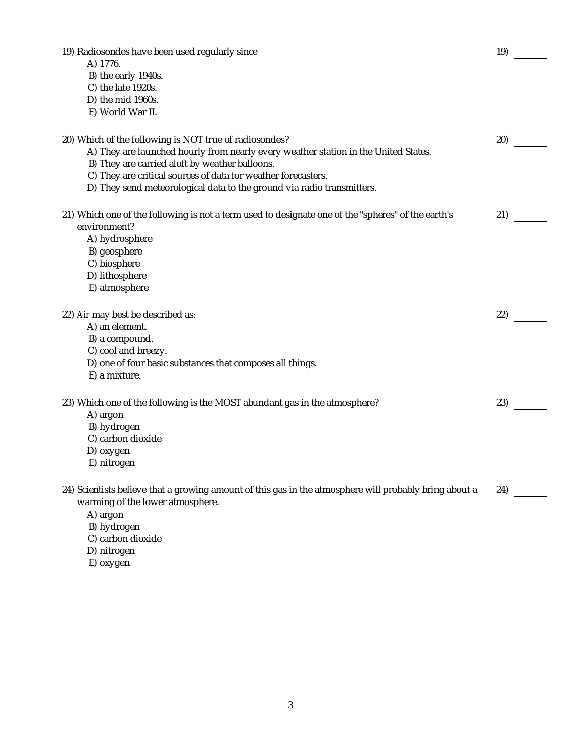19) Radiosondes have been used regularly since 19 and 19 and 19 and 19 and 19 and 19 and 19 and 19 and 19 and 19 and 19 and 19 and 19 and 19 and 19 and 19 and 19 and 19 and 19 and 19 and 19 and 19 and 19 and 19 and 19 and A) 1776. B) the early 1940s. C) the late 1920s. D) the mid 1960s. E) World War II.

| 20) Which of the following is NOT true of radiosondes?<br>A) They are launched hourly from nearly every weather station in the United States.<br>B) They are carried aloft by weather balloons.<br>C) They are critical sources of data for weather forecasters.<br>D) They send meteorological data to the ground via radio transmitters. | 20) |  |
|--------------------------------------------------------------------------------------------------------------------------------------------------------------------------------------------------------------------------------------------------------------------------------------------------------------------------------------------|-----|--|
| 21) Which one of the following is not a term used to designate one of the "spheres" of the earth's<br>environment?<br>A) hydrosphere<br>B) geosphere<br>C) biosphere<br>D) lithosphere<br>E) atmosphere                                                                                                                                    | 21) |  |
| 22) Air may best be described as:<br>A) an element.<br>B) a compound.<br>C) cool and breezy.<br>D) one of four basic substances that composes all things.<br>E) a mixture.                                                                                                                                                                 | 22) |  |
| 23) Which one of the following is the MOST abundant gas in the atmosphere?<br>A) argon<br>B) hydrogen<br>C) carbon dioxide<br>D) oxygen<br>E) nitrogen                                                                                                                                                                                     | 23) |  |
| 24) Scientists believe that a growing amount of this gas in the atmosphere will probably bring about a<br>warming of the lower atmosphere.<br>A) argon<br>B) hydrogen<br>C) carbon dioxide                                                                                                                                                 | 24) |  |

- D) nitrogen
- E) oxygen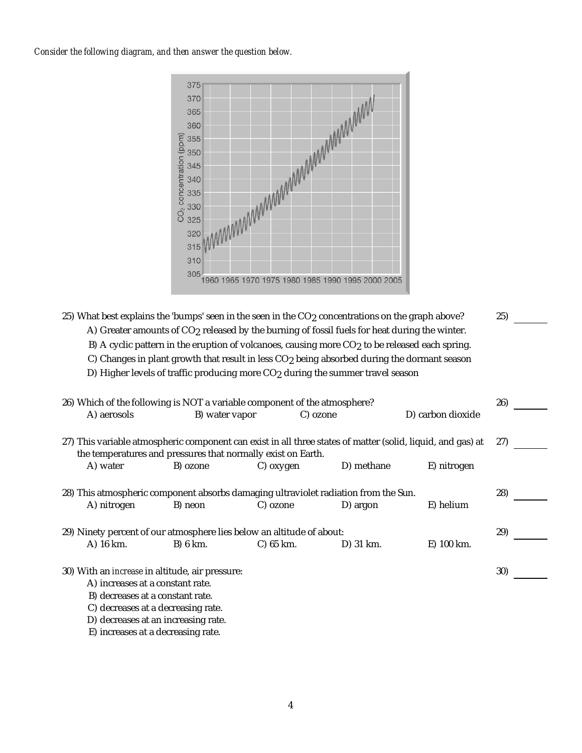*Consider the following diagram, and then answer the question below.*



25) What best explains the 'bumps' seen in the seen in the CO<sub>2</sub> concentrations on the graph above? 25)

A) Greater amounts of CO<sub>2</sub> released by the burning of fossil fuels for heat during the winter.

B) A cyclic pattern in the eruption of volcanoes, causing more CO<sub>2</sub> to be released each spring.

C) Changes in plant growth that result in less CO<sub>2</sub> being absorbed during the dormant season

D) Higher levels of traffic producing more CO<sub>2</sub> during the summer travel season

| 26) Which of the following is NOT a variable component of the atmosphere?                                                                                                   |                |           |            |                   | 26) |
|-----------------------------------------------------------------------------------------------------------------------------------------------------------------------------|----------------|-----------|------------|-------------------|-----|
| A) aerosols                                                                                                                                                                 | B) water vapor |           | C) ozone   | D) carbon dioxide |     |
| 27) This variable atmospheric component can exist in all three states of matter (solid, liquid, and gas) at<br>the temperatures and pressures that normally exist on Earth. |                |           |            |                   | 27) |
| A) water                                                                                                                                                                    | B) ozone       | C) oxygen | D) methane | E) nitrogen       |     |
| 28) This atmospheric component absorbs damaging ultraviolet radiation from the Sun.<br>A) nitrogen                                                                          | B) neon        | C) ozone  | D) argon   | E) helium         | 28) |
| 29) Ninety percent of our atmosphere lies below an altitude of about:                                                                                                       |                |           |            |                   | 29) |
| A) 16 km.                                                                                                                                                                   | B) 6 km.       | C) 65 km. | D) 31 km.  | E) 100 km.        |     |
| 30) With an <i>increase</i> in altitude, air pressure:<br>A) increases at a constant rate.                                                                                  |                |           |            |                   | 30) |
| B) decreases at a constant rate.                                                                                                                                            |                |           |            |                   |     |
| C) decreases at a decreasing rate.                                                                                                                                          |                |           |            |                   |     |
| D) decreases at an increasing rate.                                                                                                                                         |                |           |            |                   |     |

E) increases at a decreasing rate.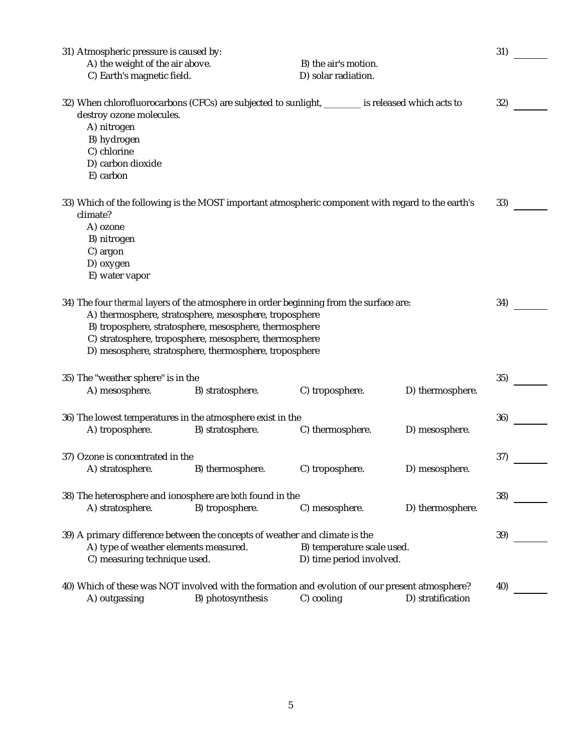| 31) Atmospheric pressure is caused by:                                                                                                                            |                                                                                                                  |                                                        |                   | 31) |
|-------------------------------------------------------------------------------------------------------------------------------------------------------------------|------------------------------------------------------------------------------------------------------------------|--------------------------------------------------------|-------------------|-----|
| A) the weight of the air above.                                                                                                                                   |                                                                                                                  | B) the air's motion.                                   |                   |     |
| C) Earth's magnetic field.                                                                                                                                        |                                                                                                                  | D) solar radiation.                                    |                   |     |
| 32) When chlorofluorocarbons (CFCs) are subjected to sunlight, _______ is released which acts to<br>destroy ozone molecules.<br>A) nitrogen                       |                                                                                                                  |                                                        |                   | 32) |
| B) hydrogen<br>C) chlorine<br>D) carbon dioxide<br>E) carbon                                                                                                      |                                                                                                                  |                                                        |                   |     |
| 33) Which of the following is the MOST important atmospheric component with regard to the earth's<br>climate?<br>A) ozone<br>B) nitrogen<br>C) argon<br>D) oxygen |                                                                                                                  |                                                        |                   | 33) |
| E) water vapor<br>34) The four <i>thermal</i> layers of the atmosphere in order beginning from the surface are:                                                   | A) thermosphere, stratosphere, mesosphere, troposphere<br>B) troposphere, stratosphere, mesosphere, thermosphere |                                                        |                   | 34) |
|                                                                                                                                                                   | C) stratosphere, troposphere, mesosphere, thermosphere<br>D) mesosphere, stratosphere, thermosphere, troposphere |                                                        |                   |     |
| 35) The "weather sphere" is in the                                                                                                                                |                                                                                                                  |                                                        |                   | 35) |
| A) mesosphere.                                                                                                                                                    | B) stratosphere.                                                                                                 | C) troposphere.                                        | D) thermosphere.  |     |
| 36) The lowest temperatures in the atmosphere exist in the<br>A) troposphere.                                                                                     | B) stratosphere.                                                                                                 | C) thermosphere.                                       | D) mesosphere.    | 36) |
| 37) Ozone is concentrated in the<br>A) stratosphere.                                                                                                              | B) thermosphere.                                                                                                 | C) troposphere.                                        | D) mesosphere.    | 37) |
|                                                                                                                                                                   |                                                                                                                  |                                                        |                   |     |
| 38) The heterosphere and ionosphere are both found in the                                                                                                         |                                                                                                                  |                                                        |                   | 38) |
| A) stratosphere.                                                                                                                                                  | B) troposphere.                                                                                                  | C) mesosphere.                                         | D) thermosphere.  |     |
| 39) A primary difference between the concepts of weather and climate is the<br>A) type of weather elements measured.<br>C) measuring technique used.              |                                                                                                                  | B) temperature scale used.<br>D) time period involved. |                   | 39) |
| 40) Which of these was NOT involved with the formation and evolution of our present atmosphere?<br>A) outgassing                                                  | B) photosynthesis                                                                                                | C) cooling                                             | D) stratification | 40) |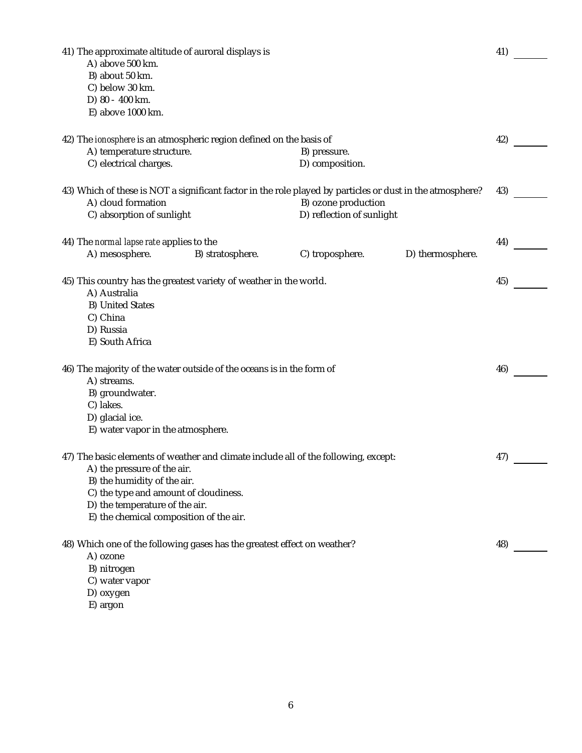| 41) The approximate altitude of auroral displays is<br>A) above 500 km.<br>B) about 50 km.<br>C) below 30 km.<br>D) 80 - 400 km.<br>E) above 1000 km.                                                                                                                   |                  |                                                  |                  | 41) |
|-------------------------------------------------------------------------------------------------------------------------------------------------------------------------------------------------------------------------------------------------------------------------|------------------|--------------------------------------------------|------------------|-----|
| 42) The <i>ionosphere</i> is an atmospheric region defined on the basis of<br>A) temperature structure.<br>C) electrical charges.                                                                                                                                       |                  | B) pressure.<br>D) composition.                  |                  | 42) |
| 43) Which of these is NOT a significant factor in the role played by particles or dust in the atmosphere?<br>A) cloud formation<br>C) absorption of sunlight                                                                                                            |                  | B) ozone production<br>D) reflection of sunlight |                  | 43) |
| 44) The normal lapse rate applies to the<br>A) mesosphere.                                                                                                                                                                                                              | B) stratosphere. | C) troposphere.                                  | D) thermosphere. | 44) |
| 45) This country has the greatest variety of weather in the world.<br>A) Australia<br><b>B) United States</b><br>C) China<br>D) Russia<br>E) South Africa                                                                                                               |                  |                                                  |                  | 45) |
| 46) The majority of the water outside of the oceans is in the form of<br>A) streams.<br>B) groundwater.<br>C) lakes.<br>D) glacial ice.<br>E) water vapor in the atmosphere.                                                                                            |                  |                                                  |                  | 46) |
| 47) The basic elements of weather and climate include all of the following, except:<br>A) the pressure of the air.<br>B) the humidity of the air.<br>C) the type and amount of cloudiness.<br>D) the temperature of the air.<br>E) the chemical composition of the air. |                  |                                                  |                  | 47) |
| 48) Which one of the following gases has the greatest effect on weather?<br>A) ozone<br>B) nitrogen<br>C) water vapor<br>D) oxygen                                                                                                                                      |                  |                                                  |                  | 48) |

E) argon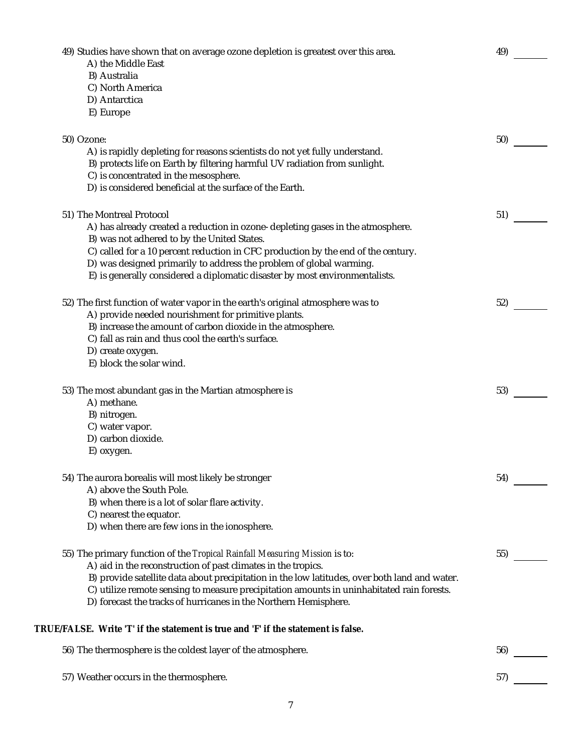| 49) Studies have shown that on average ozone depletion is greatest over this area.<br>A) the Middle East | 49) |  |
|----------------------------------------------------------------------------------------------------------|-----|--|
| B) Australia                                                                                             |     |  |
| C) North America                                                                                         |     |  |
| D) Antarctica                                                                                            |     |  |
| E) Europe                                                                                                |     |  |
| 50) Ozone:                                                                                               | 50) |  |
| A) is rapidly depleting for reasons scientists do not yet fully understand.                              |     |  |
| B) protects life on Earth by filtering harmful UV radiation from sunlight.                               |     |  |
| C) is concentrated in the mesosphere.                                                                    |     |  |
| D) is considered beneficial at the surface of the Earth.                                                 |     |  |
| 51) The Montreal Protocol                                                                                | 51) |  |
| A) has already created a reduction in ozone-depleting gases in the atmosphere.                           |     |  |
| B) was not adhered to by the United States.                                                              |     |  |
| C) called for a 10 percent reduction in CFC production by the end of the century.                        |     |  |
| D) was designed primarily to address the problem of global warming.                                      |     |  |
| E) is generally considered a diplomatic disaster by most environmentalists.                              |     |  |
| 52) The first function of water vapor in the earth's original atmosphere was to                          | 52) |  |
| A) provide needed nourishment for primitive plants.                                                      |     |  |
| B) increase the amount of carbon dioxide in the atmosphere.                                              |     |  |
| C) fall as rain and thus cool the earth's surface.                                                       |     |  |
| D) create oxygen.                                                                                        |     |  |
| E) block the solar wind.                                                                                 |     |  |
| 53) The most abundant gas in the Martian atmosphere is                                                   | 53) |  |
| A) methane.                                                                                              |     |  |
| B) nitrogen.                                                                                             |     |  |
| C) water vapor.                                                                                          |     |  |
| D) carbon dioxide.                                                                                       |     |  |
| E) oxygen.                                                                                               |     |  |
| 54) The aurora borealis will most likely be stronger                                                     | 54) |  |
| A) above the South Pole.                                                                                 |     |  |
| B) when there is a lot of solar flare activity.                                                          |     |  |
| C) nearest the equator.                                                                                  |     |  |
| D) when there are few ions in the ionosphere.                                                            |     |  |
| 55) The primary function of the Tropical Rainfall Measuring Mission is to:                               | 55) |  |
| A) aid in the reconstruction of past climates in the tropics.                                            |     |  |
| B) provide satellite data about precipitation in the low latitudes, over both land and water.            |     |  |
| C) utilize remote sensing to measure precipitation amounts in uninhabitated rain forests.                |     |  |
| D) forecast the tracks of hurricanes in the Northern Hemisphere.                                         |     |  |
| TRUE/FALSE. Write 'T' if the statement is true and 'F' if the statement is false.                        |     |  |
| 56) The thermosphere is the coldest layer of the atmosphere.                                             | 56) |  |
| 57) Weather occurs in the thermosphere.                                                                  | 57) |  |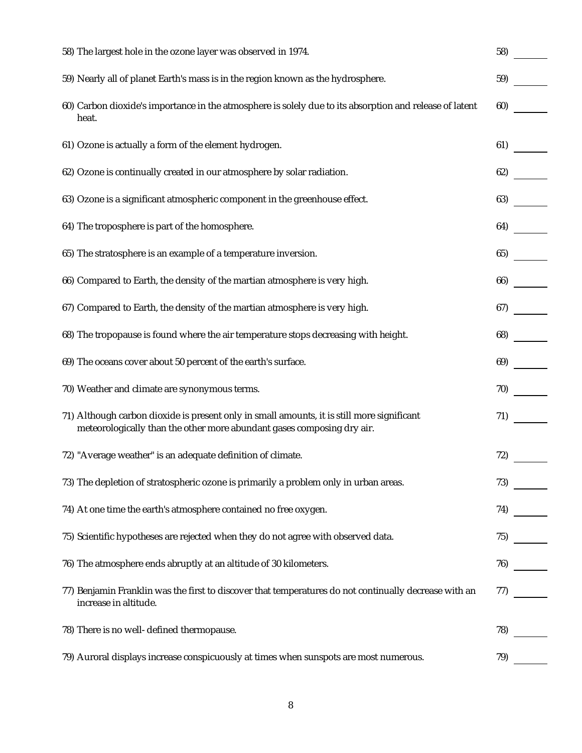| 58) The largest hole in the ozone layer was observed in 1974.                                                                                                        | 58) |
|----------------------------------------------------------------------------------------------------------------------------------------------------------------------|-----|
| 59) Nearly all of planet Earth's mass is in the region known as the hydrosphere.                                                                                     | 59) |
| 60) Carbon dioxide's importance in the atmosphere is solely due to its absorption and release of latent<br>heat.                                                     | 60) |
| 61) Ozone is actually a form of the element hydrogen.                                                                                                                | 61) |
| 62) Ozone is continually created in our atmosphere by solar radiation.                                                                                               | 62) |
| 63) Ozone is a significant atmospheric component in the greenhouse effect.                                                                                           | 63) |
| 64) The troposphere is part of the homosphere.                                                                                                                       | 64) |
| 65) The stratosphere is an example of a temperature inversion.                                                                                                       | 65) |
| 66) Compared to Earth, the density of the martian atmosphere is very high.                                                                                           | 66) |
| 67) Compared to Earth, the density of the martian atmosphere is very high.                                                                                           | 67) |
| 68) The tropopause is found where the air temperature stops decreasing with height.                                                                                  | 68) |
| 69) The oceans cover about 50 percent of the earth's surface.                                                                                                        | 69) |
| 70) Weather and climate are synonymous terms.                                                                                                                        | 70) |
| 71) Although carbon dioxide is present only in small amounts, it is still more significant<br>meteorologically than the other more abundant gases composing dry air. | 71) |
| 72) "Average weather" is an adequate definition of climate.                                                                                                          | 72) |
| 73) The depletion of stratospheric ozone is primarily a problem only in urban areas.                                                                                 | 73) |
| 74) At one time the earth's atmosphere contained no free oxygen.                                                                                                     | 74) |
| 75) Scientific hypotheses are rejected when they do not agree with observed data.                                                                                    | 75) |
| 76) The atmosphere ends abruptly at an altitude of 30 kilometers.                                                                                                    | 76) |
| 77) Benjamin Franklin was the first to discover that temperatures do not continually decrease with an<br>increase in altitude.                                       | 77) |
| 78) There is no well-defined thermopause.                                                                                                                            | 78) |
| 79) Auroral displays increase conspicuously at times when sunspots are most numerous.                                                                                | 79) |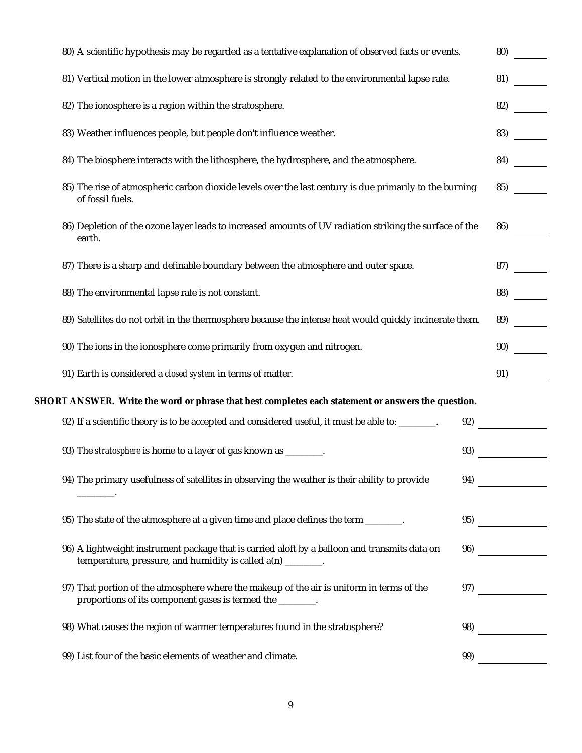| 80) A scientific hypothesis may be regarded as a tentative explanation of observed facts or events.                                                                  | 80) |
|----------------------------------------------------------------------------------------------------------------------------------------------------------------------|-----|
| 81) Vertical motion in the lower atmosphere is strongly related to the environmental lapse rate.                                                                     | 81) |
| 82) The ionosphere is a region within the stratosphere.                                                                                                              | 82) |
| 83) Weather influences people, but people don't influence weather.                                                                                                   | 83) |
| 84) The biosphere interacts with the lithosphere, the hydrosphere, and the atmosphere.                                                                               | 84) |
| 85) The rise of atmospheric carbon dioxide levels over the last century is due primarily to the burning<br>of fossil fuels.                                          | 85) |
| 86) Depletion of the ozone layer leads to increased amounts of UV radiation striking the surface of the<br>earth.                                                    | 86) |
| 87) There is a sharp and definable boundary between the atmosphere and outer space.                                                                                  | 87) |
| 88) The environmental lapse rate is not constant.                                                                                                                    | 88) |
| 89) Satellites do not orbit in the thermosphere because the intense heat would quickly incinerate them.                                                              | 89) |
| 90) The ions in the ionosphere come primarily from oxygen and nitrogen.                                                                                              | 90) |
| 91) Earth is considered a closed system in terms of matter.                                                                                                          | 91) |
| SHORT ANSWER. Write the word or phrase that best completes each statement or answers the question.                                                                   |     |
| 92) If a scientific theory is to be accepted and considered useful, it must be able to: _______.<br>92)                                                              |     |
| 93) The stratosphere is home to a layer of gas known as _______.<br>93)                                                                                              |     |
| 94) The primary usefulness of satellites in observing the weather is their ability to provide<br>94)                                                                 |     |
| 95) The state of the atmosphere at a given time and place defines the term _______.<br>95)                                                                           |     |
| 96) A lightweight instrument package that is carried aloft by a balloon and transmits data on<br>96)<br>temperature, pressure, and humidity is called a(n) ________. |     |
| 97) That portion of the atmosphere where the makeup of the air is uniform in terms of the<br>97)<br>proportions of its component gases is termed the _______.        |     |
| 98) What causes the region of warmer temperatures found in the stratosphere?<br>98)                                                                                  |     |
| 99) List four of the basic elements of weather and climate.<br>99)                                                                                                   |     |